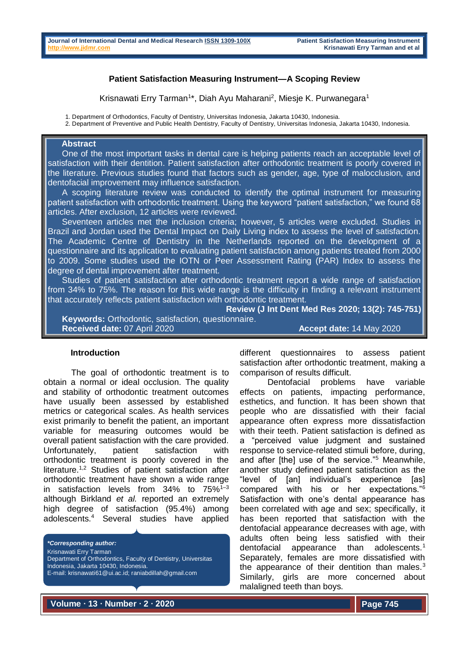#### **Patient Satisfaction Measuring Instrument—A Scoping Review**

Krisnawati Erry Tarman<sup>1\*</sup>, Diah Ayu Maharani<sup>2</sup>, Miesje K. Purwanegara<sup>1</sup>

1. Department of Orthodontics, Faculty of Dentistry, Universitas Indonesia, Jakarta 10430, Indonesia.

2. Department of Preventive and Public Health Dentistry, Faculty of Dentistry, Universitas Indonesia, Jakarta 10430, Indonesia.

## **Abstract**

 One of the most important tasks in dental care is helping patients reach an acceptable level of satisfaction with their dentition. Patient satisfaction after orthodontic treatment is poorly covered in the literature. Previous studies found that factors such as gender, age, type of malocclusion, and dentofacial improvement may influence satisfaction.

 A scoping literature review was conducted to identify the optimal instrument for measuring patient satisfaction with orthodontic treatment. Using the keyword "patient satisfaction," we found 68 articles. After exclusion, 12 articles were reviewed.

 Seventeen articles met the inclusion criteria; however, 5 articles were excluded. Studies in Brazil and Jordan used the Dental Impact on Daily Living index to assess the level of satisfaction. The Academic Centre of Dentistry in the Netherlands reported on the development of a questionnaire and its application to evaluating patient satisfaction among patients treated from 2000 to 2009. Some studies used the IOTN or Peer Assessment Rating (PAR) Index to assess the degree of dental improvement after treatment.

 Studies of patient satisfaction after orthodontic treatment report a wide range of satisfaction from 34% to 75%. The reason for this wide range is the difficulty in finding a relevant instrument that accurately reflects patient satisfaction with orthodontic treatment.

**Review (J Int Dent Med Res 2020; 13(2): 745-751) Keywords:** Orthodontic, satisfaction, questionnaire. **Received date:** 07 April 2020 **Accept date:** 14 May 2020

#### **Introduction**

The goal of orthodontic treatment is to obtain a normal or ideal occlusion. The quality and stability of orthodontic treatment outcomes have usually been assessed by established metrics or categorical scales. As health services exist primarily to benefit the patient, an important variable for measuring outcomes would be overall patient satisfaction with the care provided. Unfortunately, patient satisfaction with orthodontic treatment is poorly covered in the literature.1,2 Studies of patient satisfaction after orthodontic treatment have shown a wide range in satisfaction levels from  $34\%$  to  $75\%$ <sup>1-3</sup> although Birkland *et al.* reported an extremely high degree of satisfaction (95.4%) among adolescents.<sup>4</sup> Several studies have applied

*\*Corresponding author:*

Krisnawati Erry Tarman

- Department of Orthodontics, Faculty of Dentistry, Universitas Indonesia, Jakarta 10430, Indonesia.
- E-mail[: krisnawati61@ui.ac.id;](mailto:krisnawati61@ui.ac.id) [raniabdillah@gmail.com](mailto:raniabdillah@gmail.com)

different questionnaires to assess patient satisfaction after orthodontic treatment, making a comparison of results difficult.

Dentofacial problems have variable effects on patients, impacting performance, esthetics, and function. It has been shown that people who are dissatisfied with their facial appearance often express more dissatisfaction with their teeth. Patient satisfaction is defined as a "perceived value judgment and sustained response to service-related stimuli before, during, and after [the] use of the service."<sup>5</sup> Meanwhile. another study defined patient satisfaction as the "level of [an] individual's experience [as] compared with his or her expectations."<sup>6</sup> Satisfaction with one's dental appearance has been correlated with age and sex; specifically, it has been reported that satisfaction with the dentofacial appearance decreases with age, with adults often being less satisfied with their dentofacial appearance than adolescents.<sup>1</sup> Separately, females are more dissatisfied with the appearance of their dentition than males.<sup>3</sup> Similarly, girls are more concerned about malaligned teeth than boys.

**Volume ∙ 13 ∙ Number ∙ 2 ∙ 2020**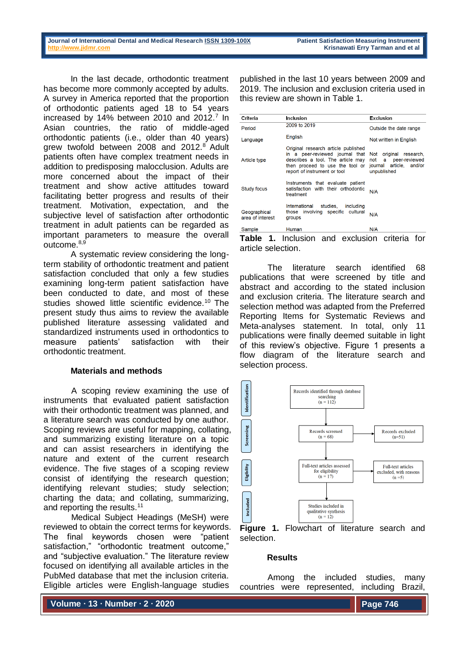In the last decade, orthodontic treatment has become more commonly accepted by adults. A survey in America reported that the proportion of orthodontic patients aged 18 to 54 years increased by 14% between 2010 and 2012. $^7$  In Asian countries, the ratio of middle-aged orthodontic patients (i.e., older than 40 years) grew twofold between 2008 and 2012.<sup>8</sup> Adult patients often have complex treatment needs in addition to predisposing malocclusion. Adults are more concerned about the impact of their treatment and show active attitudes toward facilitating better progress and results of their treatment. Motivation, expectation, and the subjective level of satisfaction after orthodontic treatment in adult patients can be regarded as important parameters to measure the overall  $Outcome<sup>8,9</sup>$ 

A systematic review considering the longterm stability of orthodontic treatment and patient satisfaction concluded that only a few studies examining long-term patient satisfaction have been conducted to date, and most of these studies showed little scientific evidence.<sup>10</sup> The present study thus aims to review the available published literature assessing validated and standardized instruments used in orthodontics to measure patients' satisfaction with their orthodontic treatment.

### **Materials and methods**

A scoping review examining the use of instruments that evaluated patient satisfaction with their orthodontic treatment was planned, and a literature search was conducted by one author. Scoping reviews are useful for mapping, collating, and summarizing existing literature on a topic and can assist researchers in identifying the nature and extent of the current research evidence. The five stages of a scoping review consist of identifying the research question; identifying relevant studies; study selection; charting the data; and collating, summarizing, and reporting the results.<sup>11</sup>

Medical Subject Headings (MeSH) were reviewed to obtain the correct terms for keywords. The final keywords chosen were "patient satisfaction," "orthodontic treatment outcome," and "subjective evaluation." The literature review focused on identifying all available articles in the PubMed database that met the inclusion criteria. Eligible articles were English-language studies

**Volume ∙ 13 ∙ Number ∙ 2 ∙ 2020**

published in the last 10 years between 2009 and 2019. The inclusion and exclusion criteria used in this review are shown in Table 1.

| Criteria                         | Inclusion                                                                                                                                                                      | Exclusion                                                                                          |  |
|----------------------------------|--------------------------------------------------------------------------------------------------------------------------------------------------------------------------------|----------------------------------------------------------------------------------------------------|--|
| Period                           | 2009 to 2019                                                                                                                                                                   | Outside the date range                                                                             |  |
| Language                         | English                                                                                                                                                                        | Not written in English                                                                             |  |
| Article type                     | Original research article published<br>in a peer-reviewed journal that<br>describes a tool. The article may<br>then proceed to use the tool or<br>report of instrument or tool | original research,<br>Not<br>not<br>a a<br>peer-reviewed<br>journal article, and/or<br>unpublished |  |
| <b>Study focus</b>               | Instruments that evaluate patient<br>satisfaction with their orthodontic<br>treatment                                                                                          | N/A                                                                                                |  |
| Geographical<br>area of interest | International<br>studies.<br>including<br>those involving specific cultural<br>groups                                                                                          | N/A                                                                                                |  |
| Sample                           | Human                                                                                                                                                                          | N/A                                                                                                |  |

**Table 1.** Inclusion and exclusion criteria for article selection.

The literature search identified 68 publications that were screened by title and abstract and according to the stated inclusion and exclusion criteria. The literature search and selection method was adapted from the Preferred Reporting Items for Systematic Reviews and Meta-analyses statement. In total, only 11 publications were finally deemed suitable in light of this review's objective. Figure 1 presents a flow diagram of the literature search and selection process.





### **Results**

Among the included studies, many countries were represented, including Brazil,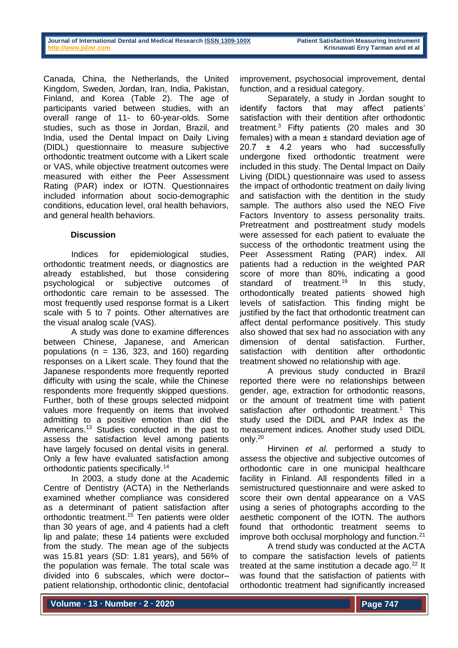Canada, China, the Netherlands, the United Kingdom, Sweden, Jordan, Iran, India, Pakistan, Finland, and Korea (Table 2). The age of participants varied between studies, with an overall range of 11- to 60-year-olds. Some studies, such as those in Jordan, Brazil, and India, used the Dental Impact on Daily Living (DIDL) questionnaire to measure subjective orthodontic treatment outcome with a Likert scale or VAS, while objective treatment outcomes were measured with either the Peer Assessment Rating (PAR) index or IOTN. Questionnaires included information about socio-demographic conditions, education level, oral health behaviors, and general health behaviors.

## **Discussion**

Indices for epidemiological studies, orthodontic treatment needs, or diagnostics are already established, but those considering psychological or subjective outcomes of orthodontic care remain to be assessed. The most frequently used response format is a Likert scale with 5 to 7 points. Other alternatives are the visual analog scale (VAS).

A study was done to examine differences between Chinese, Japanese, and American populations ( $n = 136$ , 323, and 160) regarding responses on a Likert scale. They found that the Japanese respondents more frequently reported difficulty with using the scale, while the Chinese respondents more frequently skipped questions. Further, both of these groups selected midpoint values more frequently on items that involved admitting to a positive emotion than did the Americans.<sup>13</sup> Studies conducted in the past to assess the satisfaction level among patients have largely focused on dental visits in general. Only a few have evaluated satisfaction among orthodontic patients specifically.<sup>14</sup>

In 2003, a study done at the Academic Centre of Dentistry (ACTA) in the Netherlands examined whether compliance was considered as a determinant of patient satisfaction after orthodontic treatment.<sup>15</sup> Ten patients were older than 30 years of age, and 4 patients had a cleft lip and palate; these 14 patients were excluded from the study. The mean age of the subjects was 15.81 years (SD: 1.81 years), and 56% of the population was female. The total scale was divided into 6 subscales, which were doctor– patient relationship, orthodontic clinic, dentofacial

improvement, psychosocial improvement, dental function, and a residual category.

Separately, a study in Jordan sought to identify factors that may affect patients' satisfaction with their dentition after orthodontic treatment.<sup>3</sup> Fifty patients (20 males and 30 females) with a mean ± standard deviation age of 20.7 ± 4.2 years who had successfully undergone fixed orthodontic treatment were included in this study. The Dental Impact on Daily Living (DIDL) questionnaire was used to assess the impact of orthodontic treatment on daily living and satisfaction with the dentition in the study sample. The authors also used the NEO Five Factors Inventory to assess personality traits. Pretreatment and posttreatment study models were assessed for each patient to evaluate the success of the orthodontic treatment using the Peer Assessment Rating (PAR) index. All patients had a reduction in the weighted PAR score of more than 80%, indicating a good standard of treatment.<sup>19</sup> In this study, orthodontically treated patients showed high levels of satisfaction. This finding might be justified by the fact that orthodontic treatment can affect dental performance positively. This study also showed that sex had no association with any dimension of dental satisfaction. Further, satisfaction with dentition after orthodontic treatment showed no relationship with age.

A previous study conducted in Brazil reported there were no relationships between gender, age, extraction for orthodontic reasons, or the amount of treatment time with patient satisfaction after orthodontic treatment.<sup>1</sup> This study used the DIDL and PAR Index as the measurement indices. Another study used DIDL only.<sup>20</sup>

Hirvinen *et al.* performed a study to assess the objective and subjective outcomes of orthodontic care in one municipal healthcare facility in Finland. All respondents filled in a semistructured questionnaire and were asked to score their own dental appearance on a VAS using a series of photographs according to the aesthetic component of the IOTN. The authors found that orthodontic treatment seems to improve both occlusal morphology and function. $21$ 

A trend study was conducted at the ACTA to compare the satisfaction levels of patients treated at the same institution a decade ago. $^{22}$  It was found that the satisfaction of patients with orthodontic treatment had significantly increased

**Volume ∙ 13 ∙ Number ∙ 2 ∙ 2020**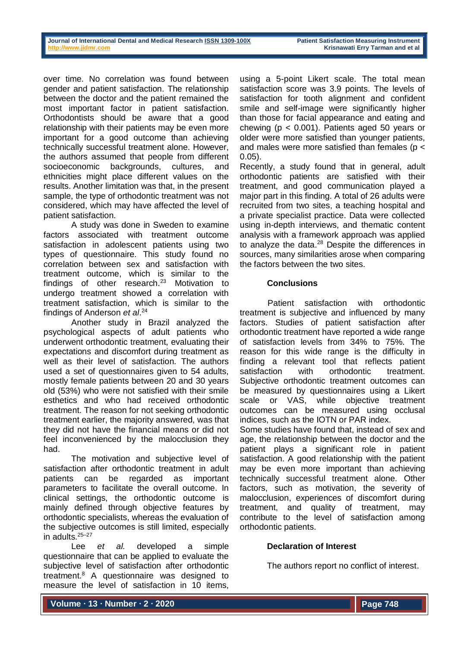over time. No correlation was found between gender and patient satisfaction. The relationship between the doctor and the patient remained the most important factor in patient satisfaction. Orthodontists should be aware that a good relationship with their patients may be even more important for a good outcome than achieving technically successful treatment alone. However, the authors assumed that people from different socioeconomic backgrounds, cultures, and ethnicities might place different values on the results. Another limitation was that, in the present sample, the type of orthodontic treatment was not considered, which may have affected the level of patient satisfaction.

A study was done in Sweden to examine factors associated with treatment outcome satisfaction in adolescent patients using two types of questionnaire. This study found no correlation between sex and satisfaction with treatment outcome, which is similar to the findings of other research.<sup>23</sup> Motivation to undergo treatment showed a correlation with treatment satisfaction, which is similar to the findings of Anderson *et al*. 24

Another study in Brazil analyzed the psychological aspects of adult patients who underwent orthodontic treatment, evaluating their expectations and discomfort during treatment as well as their level of satisfaction. The authors used a set of questionnaires given to 54 adults, mostly female patients between 20 and 30 years old (53%) who were not satisfied with their smile esthetics and who had received orthodontic treatment. The reason for not seeking orthodontic treatment earlier, the majority answered, was that they did not have the financial means or did not feel inconvenienced by the malocclusion they had.

The motivation and subjective level of satisfaction after orthodontic treatment in adult patients can be regarded as important parameters to facilitate the overall outcome. In clinical settings, the orthodontic outcome is mainly defined through objective features by orthodontic specialists, whereas the evaluation of the subjective outcomes is still limited, especially in adults  $25-27$ 

Lee *et al.* developed a simple questionnaire that can be applied to evaluate the subjective level of satisfaction after orthodontic treatment.<sup>8</sup> A questionnaire was designed to measure the level of satisfaction in 10 items,

using a 5-point Likert scale. The total mean satisfaction score was 3.9 points. The levels of satisfaction for tooth alignment and confident smile and self-image were significantly higher than those for facial appearance and eating and chewing (p < 0.001). Patients aged 50 years or older were more satisfied than younger patients, and males were more satisfied than females (p < 0.05).

Recently, a study found that in general, adult orthodontic patients are satisfied with their treatment, and good communication played a major part in this finding. A total of 26 adults were recruited from two sites, a teaching hospital and a private specialist practice. Data were collected using in-depth interviews, and thematic content analysis with a framework approach was applied to analyze the data. $28$  Despite the differences in sources, many similarities arose when comparing the factors between the two sites.

## **Conclusions**

Patient satisfaction with orthodontic treatment is subjective and influenced by many factors. Studies of patient satisfaction after orthodontic treatment have reported a wide range of satisfaction levels from 34% to 75%. The reason for this wide range is the difficulty in finding a relevant tool that reflects patient satisfaction with orthodontic treatment. Subjective orthodontic treatment outcomes can be measured by questionnaires using a Likert scale or VAS, while objective treatment outcomes can be measured using occlusal indices, such as the IOTN or PAR index.

Some studies have found that, instead of sex and age, the relationship between the doctor and the patient plays a significant role in patient satisfaction. A good relationship with the patient may be even more important than achieving technically successful treatment alone. Other factors, such as motivation, the severity of malocclusion, experiences of discomfort during treatment, and quality of treatment, may contribute to the level of satisfaction among orthodontic patients.

# **Declaration of Interest**

The authors report no conflict of interest.

**Volume ∙ 13 ∙ Number ∙ 2 ∙ 2020**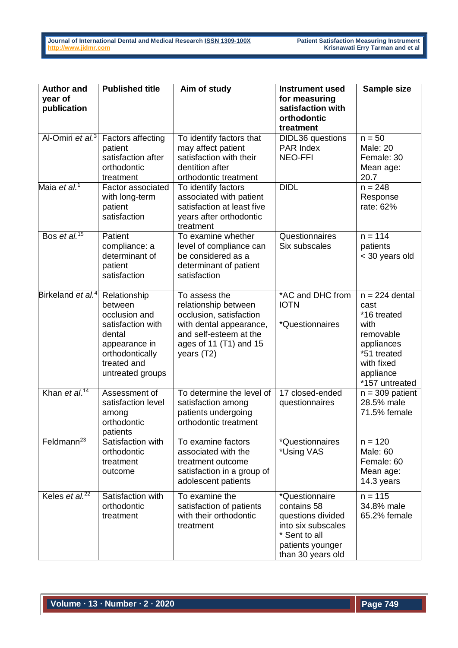| <b>Author and</b><br>year of<br>publication | <b>Published title</b>                                                                                                                         | Aim of study                                                                                                                                                    | <b>Instrument used</b><br>for measuring<br>satisfaction with                                                                       | Sample size                                                                                                                            |
|---------------------------------------------|------------------------------------------------------------------------------------------------------------------------------------------------|-----------------------------------------------------------------------------------------------------------------------------------------------------------------|------------------------------------------------------------------------------------------------------------------------------------|----------------------------------------------------------------------------------------------------------------------------------------|
|                                             |                                                                                                                                                |                                                                                                                                                                 | orthodontic<br>treatment                                                                                                           |                                                                                                                                        |
| Al-Omiri et al. <sup>3</sup>                | <b>Factors affecting</b><br>patient<br>satisfaction after<br>orthodontic<br>treatment                                                          | To identify factors that<br>may affect patient<br>satisfaction with their<br>dentition after<br>orthodontic treatment                                           | <b>DIDL36</b> questions<br><b>PAR Index</b><br><b>NEO-FFI</b>                                                                      | $n = 50$<br><b>Male: 20</b><br>Female: 30<br>Mean age:<br>20.7                                                                         |
| Maia et al. <sup>1</sup>                    | <b>Factor associated</b><br>with long-term<br>patient<br>satisfaction                                                                          | To identify factors<br>associated with patient<br>satisfaction at least five<br>years after orthodontic<br>treatment                                            | <b>DIDL</b>                                                                                                                        | $n = 248$<br>Response<br>rate: 62%                                                                                                     |
| Bos et al. <sup>15</sup>                    | Patient<br>compliance: a<br>determinant of<br>patient<br>satisfaction                                                                          | To examine whether<br>level of compliance can<br>be considered as a<br>determinant of patient<br>satisfaction                                                   | Questionnaires<br>Six subscales                                                                                                    | $n = 114$<br>patients<br>< 30 years old                                                                                                |
| Birkeland et al. <sup>4</sup>               | Relationship<br>between<br>occlusion and<br>satisfaction with<br>dental<br>appearance in<br>orthodontically<br>treated and<br>untreated groups | To assess the<br>relationship between<br>occlusion, satisfaction<br>with dental appearance,<br>and self-esteem at the<br>ages of 11 $(T1)$ and 15<br>years (T2) | *AC and DHC from<br><b>IOTN</b><br>*Questionnaires                                                                                 | $n = 224$ dental<br>cast<br>*16 treated<br>with<br>removable<br>appliances<br>*51 treated<br>with fixed<br>appliance<br>*157 untreated |
| Khan et al. <sup>14</sup>                   | Assessment of<br>satisfaction level<br>among<br>orthodontic<br>patients                                                                        | To determine the level of<br>satisfaction among<br>patients undergoing<br>orthodontic treatment                                                                 | 17 closed-ended<br>questionnaires                                                                                                  | $n = 309$ patient<br>28.5% male<br>71.5% female                                                                                        |
| Feldmann <sup>23</sup>                      | Satisfaction with<br>orthodontic<br>treatment<br>outcome                                                                                       | To examine factors<br>associated with the<br>treatment outcome<br>satisfaction in a group of<br>adolescent patients                                             | *Questionnaires<br>*Using VAS                                                                                                      | $n = 120$<br>Male: 60<br>Female: 60<br>Mean age:<br>14.3 years                                                                         |
| Keles et $al^{22}$                          | Satisfaction with<br>orthodontic<br>treatment                                                                                                  | To examine the<br>satisfaction of patients<br>with their orthodontic<br>treatment                                                                               | *Questionnaire<br>contains 58<br>questions divided<br>into six subscales<br>* Sent to all<br>patients younger<br>than 30 years old | $n = 115$<br>34.8% male<br>65.2% female                                                                                                |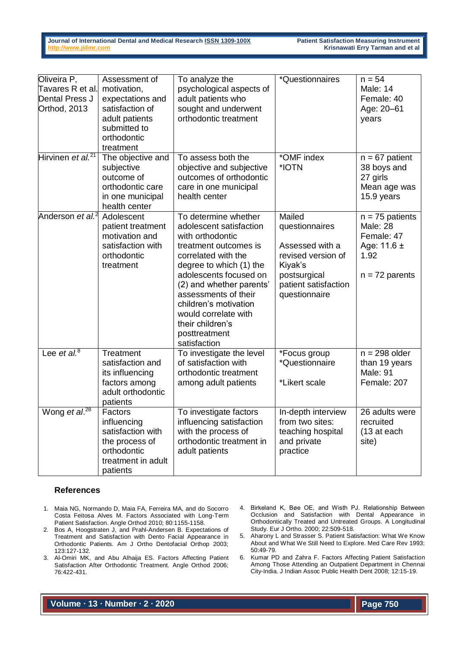**Journal of International Dental and Medical Research ISSN [1309-100X](http://www.ektodermaldisplazi.com/dergi.htm) Patient Satisfaction Measuring Instrument** 

**Krisnawati Erry Tarman and et al** 

| Oliveira P,<br>Tavares R et al.<br>Dental Press J<br>Orthod, 2013 | Assessment of<br>motivation,<br>expectations and<br>satisfaction of<br>adult patients<br>submitted to<br>orthodontic<br>treatment | To analyze the<br>psychological aspects of<br>adult patients who<br>sought and underwent<br>orthodontic treatment                                                                                                                                                                                                                  | *Questionnaires                                                                                                                       | $n = 54$<br>Male: 14<br>Female: 40<br>Age: 20-61<br>years                                  |
|-------------------------------------------------------------------|-----------------------------------------------------------------------------------------------------------------------------------|------------------------------------------------------------------------------------------------------------------------------------------------------------------------------------------------------------------------------------------------------------------------------------------------------------------------------------|---------------------------------------------------------------------------------------------------------------------------------------|--------------------------------------------------------------------------------------------|
| Hirvinen et al. <sup>21</sup>                                     | The objective and<br>subjective<br>outcome of<br>orthodontic care<br>in one municipal<br>health center                            | To assess both the<br>objective and subjective<br>outcomes of orthodontic<br>care in one municipal<br>health center                                                                                                                                                                                                                | *OMF index<br>*IOTN                                                                                                                   | $n = 67$ patient<br>38 boys and<br>27 girls<br>Mean age was<br>15.9 years                  |
| Anderson et al. <sup>2</sup>                                      | Adolescent<br>patient treatment<br>motivation and<br>satisfaction with<br>orthodontic<br>treatment                                | To determine whether<br>adolescent satisfaction<br>with orthodontic<br>treatment outcomes is<br>correlated with the<br>degree to which (1) the<br>adolescents focused on<br>(2) and whether parents'<br>assessments of their<br>children's motivation<br>would correlate with<br>their children's<br>posttreatment<br>satisfaction | Mailed<br>questionnaires<br>Assessed with a<br>revised version of<br>Kiyak's<br>postsurgical<br>patient satisfaction<br>questionnaire | $n = 75$ patients<br>Male: 28<br>Female: 47<br>Age: $11.6 \pm$<br>1.92<br>$n = 72$ parents |
| Lee et al. $8$                                                    | Treatment<br>satisfaction and<br>its influencing<br>factors among<br>adult orthodontic<br>patients                                | To investigate the level<br>of satisfaction with<br>orthodontic treatment<br>among adult patients                                                                                                                                                                                                                                  | *Focus group<br>*Questionnaire<br>*Likert scale                                                                                       | $n = 298$ older<br>than 19 years<br>Male: 91<br>Female: 207                                |
| Wong et al. <sup>28</sup>                                         | Factors<br>influencing<br>satisfaction with<br>the process of<br>orthodontic<br>treatment in adult<br>patients                    | To investigate factors<br>influencing satisfaction<br>with the process of<br>orthodontic treatment in<br>adult patients                                                                                                                                                                                                            | In-depth interview<br>from two sites:<br>teaching hospital<br>and private<br>practice                                                 | 26 adults were<br>recruited<br>(13 at each<br>site)                                        |

### **References**

- 1. Maia NG, Normando D, Maia FA, Ferreira MA, and do Socorro Costa Feitosa Alves M. Factors Associated with Long-Term Patient Satisfaction. Angle Orthod 2010; 80:1155-1158.
- 2. Bos A, Hoogstraten J, and Prahl-Andersen B. Expectations of Treatment and Satisfaction with Dento Facial Appearance in Orthodontic Patients. Am J Ortho Dentofacial Orthop 2003; 123:127-132.
- 3. Al-Omiri MK, and Abu Alhaija ES. Factors Affecting Patient Satisfaction After Orthodontic Treatment. Angle Orthod 2006; 76:422-431.
- 4. Birkeland K, Bøe OE, and Wisth PJ. Relationship Between Occlusion and Satisfaction with Dental Appearance in Orthodontically Treated and Untreated Groups. A Longitudinal Study. Eur J Ortho. 2000; 22:509-518.
- 5. Aharony L and Strasser S. Patient Satisfaction: What We Know About and What We Still Need to Explore. Med Care Rev 1993; 50:49-79.
- 6. Kumar PD and Zahra F. Factors Affecting Patient Satisfaction Among Those Attending an Outpatient Department in Chennai City-India. J Indian Assoc Public Health Dent 2008; 12:15-19.